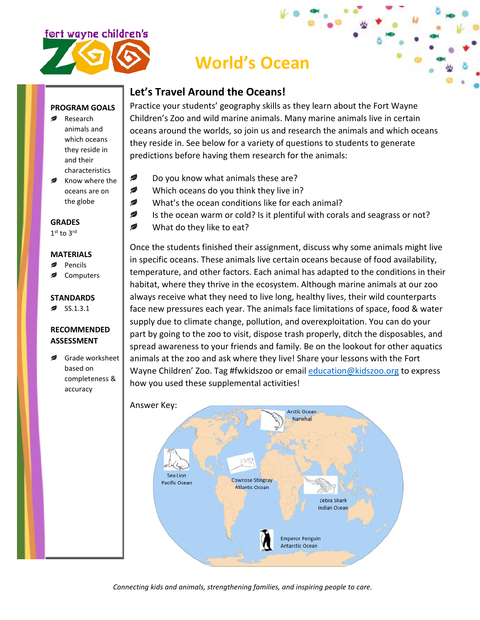

# **World's Ocean**

## **Let's Travel Around the Oceans!**

#### **PROGRAM GOALS**

- Research animals and which oceans they reside in and their characteristics
- Know where the oceans are on the globe

**GRADES**

1st to 3rd

#### **MATERIALS**

- Pencils
- **Computers**

#### **STANDARDS**

ø SS.1.3.1

### **RECOMMENDED ASSESSMENT**

Grade worksheet based on completeness & accuracy

Practice your students' geography skills as they learn about the Fort Wayne Children's Zoo and wild marine animals. Many marine animals live in certain oceans around the worlds, so join us and research the animals and which oceans they reside in. See below for a variety of questions to students to generate predictions before having them research for the animals:

- Ø Do you know what animals these are?
- Ø Which oceans do you think they live in?
- Ø What's the ocean conditions like for each animal?
- Ø Is the ocean warm or cold? Is it plentiful with corals and seagrass or not?
- Ø What do they like to eat?

Once the students finished their assignment, discuss why some animals might live in specific oceans. These animals live certain oceans because of food availability, temperature, and other factors. Each animal has adapted to the conditions in their habitat, where they thrive in the ecosystem. Although marine animals at our zoo always receive what they need to live long, healthy lives, their wild counterparts face new pressures each year. The animals face limitations of space, food & water supply due to climate change, pollution, and overexploitation. You can do your part by going to the zoo to visit, dispose trash properly, ditch the disposables, and spread awareness to your friends and family. Be on the lookout for other aquatics animals at the zoo and ask where they live! Share your lessons with the Fort Wayne Children' Zoo. Tag #fwkidszoo or email [education@kidszoo.org](mailto:education@kidszoo.org) to express how you used these supplemental activities!



*Connecting kids and animals, strengthening families, and inspiring people to care.*